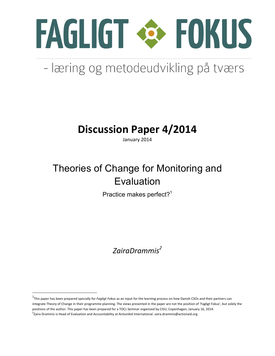

# - læring og metodeudvikling på tværs

## **Discussion Paper 4/2014**

January 2014

## Theories of Change for Monitoring and Evaluation

Practice makes perfect?<sup>1</sup>

## *ZairaDrammis2*

<u> 1989 - Johann Stein, markin film yn y breninn y breninn y breninn y breninn y breninn y breninn y breninn y b</u>

<sup>&</sup>lt;sup>1</sup>This paper has been prepared specially for *Fagligt Fokus* as an input for the learning process on how Danish CSOs and their partners can integrate Theory of Change in their programme planning. The views presented in the paper are not the position of 'Fagligt Fokus', but solely the positions of the author. This paper has been prepared for a TOCs Seminar organized by CISU, Copenhagen, January 16, 2014.  $^2$ Zaira Drammis is Head of Evaluation and Accountability at ActionAid International. zaira.drammis@actionaid.org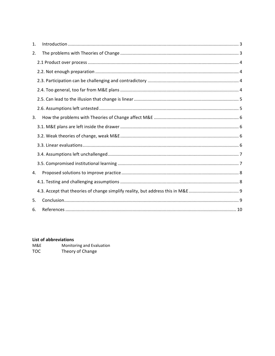| 1. |  |
|----|--|
| 2. |  |
|    |  |
|    |  |
|    |  |
|    |  |
|    |  |
|    |  |
| 3. |  |
|    |  |
|    |  |
|    |  |
|    |  |
|    |  |
| 4. |  |
|    |  |
|    |  |
| 5. |  |
| 6. |  |

## List of abbreviations

| M&E | Monitoring and Evaluation |
|-----|---------------------------|
| тос | Theory of Change          |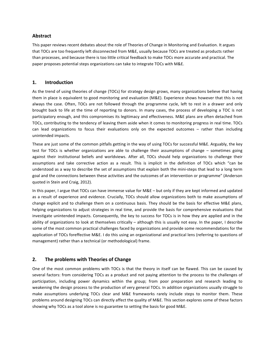### **Abstract**

This paper reviews recent debates about the role of Theories of Change in Monitoring and Evaluation. It argues that TOCs are too frequently left disconnected from M&E, usually because TOCs are treated as products rather than processes, and because there is too little critical feedback to make TOCs more accurate and practical. The paper proposes potential steps organizations can take to integrate TOCs with M&E.

### **1. Introduction**

As the trend of using theories of change (TOCs) for strategy design grows, many organizations believe that having them in place is equivalent to good monitoring and evaluation (M&E). Experience shows however that this is not always the case. Often, TOCs are not followed through the programme cycle, left to rest in a drawer and only brought back to life at the time of reporting to donors. In many cases, the process of developing a TOC is not participatory enough, and this compromises its legitimacy and effectiveness. M&E plans are often detached from TOCs, contributing to the tendency of leaving them aside when it comes to monitoring progress in real time. TOCs can lead organizations to focus their evaluations only on the expected outcomes  $-$  rather than including unintended impacts.

These are just some of the common pitfalls getting in the way of using TOCs for successful M&E. Arguably, the key test for TOCs is whether organizations are able to challenge their assumptions of change  $-$  sometimes going against their institutional beliefs and worldviews. After all, TOCs should help organizations to challenge their assumptions and take corrective action as a result. This is implicit in the definition of TOCs which "can be understood as a way to describe the set of assumptions that explain both the mini-steps that lead to a long term goal and the connections between these activities and the outcomes of an intervention or programme" (Anderson quoted in Stein and Craig, 2012).

In this paper, I argue that TOCs can have immense value for  $MAE - but$  only if they are kept informed and updated as a result of experience and evidence. Crucially, TOCs should allow organizations both to make assumptions of change explicit and to challenge them on a continuous basis. They should be the basis for effective M&E plans, helping organizations to adjust strategies in real time, and provide the basis for comprehensive evaluations that investigate unintended impacts. Consequently, the key to success for TOCs is in how they are applied and in the ability of organizations to look at themselves critically – although this is usually not easy. In the paper, I describe some of the most common practical challenges faced by organizations and provide some recommendations for the application of TOCs foreffective M&E. I do this using an organizational and practical lens (referring to questions of management) rather than a technical (or methodological) frame.

## **2.** The problems with Theories of Change

One of the most common problems with TOCs is that the theory in itself can be flawed. This can be caused by several factors: from considering TOCs as a product and not paying attention to the process to the challenges of participation, including power dynamics within the group; from poor preparation and research leading to weakening the design process to the production of very general TOCs. In addition organizations usually struggle to make assumptions underlying TOCs clear and M&E frameworks rarely include steps to monitor them. These problems around designing TOCs can directly affect the quality of M&E. This section explores some of these factors showing why TOCs as a tool alone is no guarantee to setting the basis for good M&E.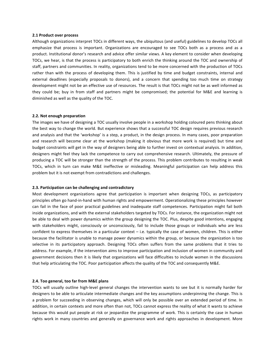#### **2.1 Product over process**

Although organizations interpret TOCs in different ways, the ubiquitous (and useful) guidelines to develop TOCs all emphasize that process is important. Organizations are encouraged to see TOCs both as a process and as a product. Institutional donor's research and advice offer similar views. A key element to consider when developing TOCs, we hear, is that the process is participatory to both enrich the thinking around the TOC and ownership of staff, partners and communities. In reality, organizations tend to be more concerned with the production of TOCs rather than with the process of developing them. This is justified by time and budget constraints, internal and external deadlines (especially proposals to donors), and a concern that spending too much time on strategy development might not be an effective use of resources. The result is that TOCs might not be as well informed as they could be; buy in from staff and partners might be compromised; the potential for M&E and learning is diminished as well as the quality of the TOC.

#### **2.2. Not enough preparation**

The images we have of designing a TOC usually involve people in a workshop holding coloured pens thinking about the best way to change the world. But experience shows that a successful TOC design requires previous research and analysis and that the 'workshop' is a step, a product, in the design process. In many cases, poor preparation and research will become clear at the workshop (making it obvious that more work is required) but time and budget constraints will get in the way of designers being able to further invest on contextual analysis. In addition, designers might feel they lack the competence to carry out comprehensive research. Ultimately, the pressure of producing a TOC will be stronger than the strength of the process. This problem contributes to resulting in weak TOCs, which in turn can make M&E ineffective or misleading. Meaningful participation can help address this problem but it is not exempt from contradictions and challenges.

#### **2.3. Participation can be challenging and contradictory**

Most development organizations agree that participation is important when designing TOCs, as participatory principles often go hand-in-hand with human rights and empowerment. Operationalizing these principles however can fail in the face of poor practical guidelines and inadequate staff competences. Participation might fail both inside organizations, and with the external stakeholders targeted by TOCs. For instance, the organization might not be able to deal with power dynamics within the group designing the TOC. Plus, despite good intentions, engaging with stakeholders might, consciously or unconsciously, fail to include those groups or individuals who are less confident to express themselves in a particular context  $-$  i.e. typically the case of women, children. This is either because the facilitator is unable to manage power dynamics within the group, or because the organization is too selective in its participatory approach. Designing TOCs often suffers from the same problems that it tries to address. For example, if the intervention aims to improve participation and inclusion of women in community and government decisions then it is likely that organizations will face difficulties to include women in the discussions that help articulating the TOC. Poor participation affects the quality of the TOC and consequently M&E.

#### **2.4. Too general, too far from M&E plans**

TOCs will usually outline high-level general changes the intervention wants to see but it is normally harder for designers to be able to articulate intermediate changes and the key assumptions underpinning the change. This is a problem for succeeding in observing changes, which will only be possible over an extended period of time. In addition, in certain contexts and more often than not, TOCs cannot express the reality of what it wants to achieve because this would put people at risk or jeopardize the programme of work. This is certainly the case in human rights work in many countries and generally on governance work and rights approaches in development. More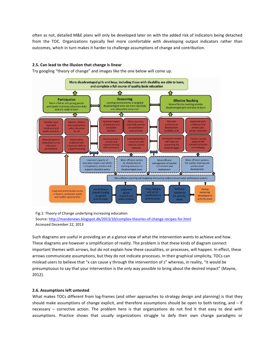often as not, detailed M&E plans will only be developed later on with the added risk of indicators being detached from the TOC. Organizations typically feel more comfortable with developing output indicators rather than outcomes, which in turn makes it harder to challenge assumptions of change and contribution.

### **2.5. Can lead to the illusion that change is linear**

Try googling "theory of change" and images like the one below will come up.



Fig.1: Theory of Change underlying increasing education Source: http://mandenews.blogspot.dk/2013/10/complex-theories-of-change-recipes-for.html Accessed December 22, 2013

Such diagrams are useful in providing an at a glance view of what the intervention wants to achieve and how. These diagrams are however a simplification of reality. The problem is that these kinds of diagram connect important themes with arrows, but do not explain how these causalities, or processes, will happen. In effect, these arrows communicate assumptions, but they do not indicate processes. In their graphical simplicity, TOCs can mislead users to believe that "x can cause y through the intervention of z" whereas, in reality, "it would be presumptuous to say that your intervention is the only way possible to bring about the desired impact" (Mayne, 2012).

#### **2.6. Assumptions left untested**

What makes TOCs different from log-frames (and other approaches to strategy design and planning) is that they should make assumptions of change explicit, and therefore assumptions should be open to both testing, and  $-$  if necessary  $-$  corrective action. The problem here is that organizations do not find it that easy to deal with assumptions. Practice shows that usually organizations struggle to defy their own change paradigms or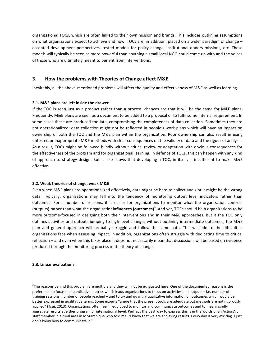organizational TOCs, which are often linked to their own mission and brands. This includes outlining assumptions on what organizations expect to achieve and how. TOCs are, in addition, placed on a wider paradigm of change – accepted development perspectives, tested models for policy change, institutional donors missions, etc. These models will typically be seen as more powerful than anything a small local NGO could come up with and the voices of those who are ultimately meant to benefit from interventions.

## **3.** How the problems with Theories of Change affect M&E

Inevitably, all the above-mentioned problems will affect the quality and effectiveness of M&E as well as learning.

### **3.1. M&E** plans are left inside the drawer

If the TOC is seen just as a product rather than a process, chances are that it will be the same for M&E plans. Frequently, M&E plans are seen as a document to be added to a proposal or to fulfil some internal requirement. In some cases these are produced too late, compromising the completeness of data collection. Sometimes they are not operationalized: data collection might not be reflected in people's work-plans which will have an impact on ownership of both the TOC and the M&E plan within the organization. Poor ownership can also result in using untested or inappropriate M&E methods with clear consequences on the validity of data and the rigour of analysis. As a result, TOCs might be followed blindly without critical review or adaptation with obvious consequences for the effectiveness of the program and for organizational learning. In defence of TOCs, this can happen with any kind of approach to strategy design. But it also shows that developing a TOC, in itself, is insufficient to make M&E effective.

### **3.2. Weak theories of change, weak M&E**

Even when M&E plans are operationalized effectively, data might be hard to collect and / or it might be the wrong data. Typically, organizations may fall into the tendency of monitoring output level indicators rather than outcomes. For a number of reasons, it is easier for organizations to monitor what the organization controls (outputs) rather than what the organization**influences (outcomes)**<sup>3</sup>. And yet, TOCs should help organizations to be more outcome-focused in designing both their interventions and in their M&E approaches. But it the TOC only outlines activities and outputs jumping to high-level changes without outlining intermediate outcomes, the M&E plan and general approach will probably struggle and follow the same path. This will add to the difficulties organizations face when assessing impact. In addition, organizations often struggle with dedicating time to critical reflection – and even when this takes place it does not necessarily mean that discussions will be based on evidence produced through the monitoring process of the theory of change.

#### **3.3. Linear evaluations**

<u> 1989 - Johann Stein, markin film yn y breninn y breninn y breninn y breninn y breninn y breninn y breninn y b</u>

 $3$ The reasons behind this problem are multiple and they will not be exhausted here. One of the documented reasons is the preference to focus on quantitative metrics which leads organizations to focus on activities and outputs – i.e. number of training sessions, number of people reached – and to try and quantify qualitative information on outcomes which would be better expressed in qualitative terms. Some experts "argue that the present tools are adequate but methods are not rigorously applied" (Tsui, 2013). Organizations often feel ill equipped to monitor and communicate outcomes and to meaningfully aggregate results at either program or international level. Perhaps the best way to express this is in the words of an ActionAid staff member in a rural area in Mozambique who told me: "I know that we are achieving results. Every day is very exciting. I just don't know how to communicate it."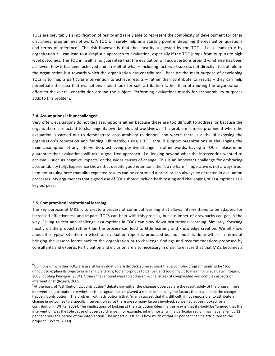TOCs are inevitably a simplification of reality and rarely able to represent the complexity of development (or other disciplines) programmes of work. A TOC will surely help as a starting point in designing the evaluation questions and terms of reference<sup>4</sup>. The risk however is that the linearity suggested by the TOC – i.e. x leads to y by organization  $z$  – can lead to a simplistic approach to evaluation, especially if the TOC jumps from outputs to high level outcomes. The TOC in itself is no guarantee that the evaluation will ask questions around what else has been achieved, how it has been achieved and a result of what – including factors of success not directly attributable to the organization but towards which the organization has contributed<sup>5</sup>. Because the main purpose of developing TOCs is to map a particular intervention to achieve results  $-$  rather than contribute to results  $-$  they can help perpetuate the idea that evaluations should look for sole attribution rather than attributing the organization's effort to the overall contribution around the subject. Performing evaluations mostly for accountability purposes adds to this problem.

#### **3.4. Assumptions left unchallenged**

Very often, evaluations do not test assumptions either because these are too difficult to address, or because the organization is reluctant to challenge its own beliefs and worldviews. This problem is more prominent when the evaluation is carried out to demonstrate accountability to donors, and where there is a risk of exposing the organization's reputation and funding. Ultimately, using a TOC should support organizations in challenging the main assumption of any intervention: achieving positive change. In other words, having a TOC in place is no guarantee that evaluations will take a goal free approach  $-i.e.$  looking beyond what the intervention wanted to achieve – such as negative impacts, or the wider causes of change. This is an important challenge for embracing accountability fully. Experience shows that despite good intentions the "do no harm" imperative is not always true. I am not arguing here that allunexpected results can be controlled a priori or can always be detected in evaluation processes. My argument is that a good use of TOCs should include both testing and challenging of assumptions as a key purpose.

#### **3.5. Compromised institutional learning**

<u> 1989 - Johann Stein, markin film yn y breninn y breninn y breninn y breninn y breninn y breninn y breninn y b</u>

The key purpose of M&E is to create a process of continual learning that allows interventions to be adapted for increased effectiveness and impact. TOCs can help with this process, but a number of drawbacks can get in the way. Failing to test and challenge assumptions in TOCs can slow down institutional learning. Similarly, focusing mostly on the product rather than the process can lead to little learning and knowledge creation. We all know about the typical situation in which an evaluation report is produced but not much is done with it in terms of bringing the lessons learnt back to the organization or to challenge findings and recommendations proposed by consultants and experts. Participation and inclusion are also necessary in order to ensure that that M&E becomes a

 $^4$ Opinions on whether TOCs are useful for evaluation are divided: some suggest that a complex program tends to be "too difficult to explain its objectives in tangible terms, too amorphous to deliver, and too difficult to meaningful evaluate" (Rogers, 2008, quoting Pinnegar, 2004). Others "have found ways to address the challenges of complicated and complex aspects of interventions" (Rogers, 2008).

 $5$ At the basis of "attribution vs. contribution" debate iswhether the changes observed are the result solely of the programme's intervention (attribution) or whether the programme has played a role in influencing the factors that have made the change happen (contribution). The problem with attribution isthat "many suggest that it is difficult, if not impossible, to attribute a change in outcomes to a specific intervention since there are so many factors involved, so we had at best looked for a contribution" (White, 2009). The implications of looking at the attribution dilemma this way is that it should be "argued that the intervention was the sole cause of observed change....for example, infant mortality in a particular region may have fallen by 12 per cent over the period of the intervention. The impact question is how much of that 12 per cent can be attributed to the project?" (White, 2009).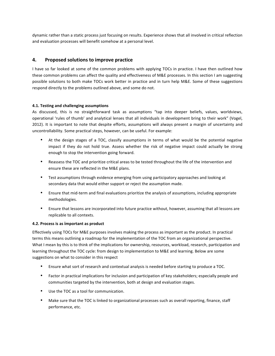dynamic rather than a static process just focusing on results. Experience shows that all involved in critical reflection and evaluation processes will benefit somehow at a personal level.

## **4.** Proposed solutions to improve practice

I have so far looked at some of the common problems with applying TOCs in practice. I have then outlined how these common problems can affect the quality and effectiveness of M&E processes. In this section I am suggesting possible solutions to both make TOCs work better in practice and in turn help M&E. Some of these suggestions respond directly to the problems outlined above, and some do not.

### **4.1. Testing and challenging assumptions**

As discussed, this is no straightforward task as assumptions "tap into deeper beliefs, values, worldviews, operational 'rules of thumb' and analytical lenses that all individuals in development bring to their work" (Vogel, 2012). It is important to note that despite efforts, assumptions will always present a margin of uncertainty and uncontrollability. Some practical steps, however, can be useful. For example:

- At the design stages of a TOC, classify assumptions in terms of what would be the potential negative impact if they do not hold true. Assess whether the risk of negative impact could actually be strong enough to stop the intervention going forward.
- Reassess the TOC and prioritize critical areas to be tested throughout the life of the intervention and ensure these are reflected in the M&E plans.
- Test assumptions through evidence emerging from using participatory approaches and looking at secondary data that would either support or reject the assumption made.
- Ensure that mid-term and final evaluations prioritize the analysis of assumptions, including appropriate methodologies.
- Ensure that lessons are incorporated into future practice without, however, assuming that all lessons are replicable to all contexts.

### **4.2. Process is as important as product**

Effectively using TOCs for M&E purposes involves making the process as important as the product. In practical terms this means outlining a roadmap for the implementation of the TOC from an organizational perspective. What I mean by this is to think of the implications for ownership, resources, workload, research, participation and learning throughout the TOC cycle: from design to implementation to M&E and learning. Below are some suggestions on what to consider in this respect

- Ensure what sort of research and contextual analysis is needed before starting to produce a TOC.
- Factor in practical implications for inclusion and participation of key stakeholders; especially people and communities targeted by the intervention, both at design and evaluation stages.
- Use the TOC as a tool for communication.
- Make sure that the TOC is linked to organizational processes such as overall reporting, finance, staff performance, etc.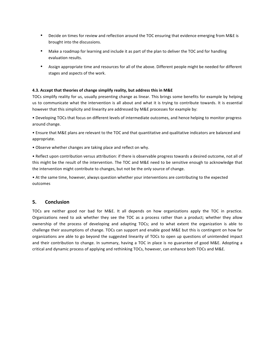- Decide on times for review and reflection around the TOC ensuring that evidence emerging from M&E is brought into the discussions.
- Make a roadmap for learning and include it as part of the plan to deliver the TOC and for handling evaluation results.
- Assign appropriate time and resources for all of the above. Different people might be needed for different stages and aspects of the work.

### **4.3. Accept that theories of change simplify reality, but address this in M&E**

TOCs simplify reality for us, usually presenting change as linear. This brings some benefits for example by helping us to communicate what the intervention is all about and what it is trying to contribute towards. It is essential however that this simplicity and linearity are addressed by M&E processes for example by:

• Developing TOCs that focus on different levels of intermediate outcomes, and hence helping to monitor progress around change.

• Ensure that M&E plans are relevant to the TOC and that quantitative and qualitative indicators are balanced and appropriate.

• Observe whether changes are taking place and reflect on why.

• Reflect upon contribution versus attribution: if there is observable progress towards a desired outcome, not all of this might be the result of the intervention. The TOC and M&E need to be sensitive enough to acknowledge that the intervention might contribute to changes, but not be the only source of change.

• At the same time, however, always question whether your interventions are contributing to the expected outcomes

### **5. Conclusion**

TOCs are neither good nor bad for M&E. It all depends on how organizations apply the TOC in practice. Organizations need to ask whether they see the TOC as a process rather than a product; whether they allow ownership of the process of developing and adapting TOCs; and to what extent the organization is able to challenge their assumptions of change. TOCs can support and enable good M&E but this is contingent on how far organizations are able to go beyond the suggested linearity of TOCs to open up questions of unintended impact and their contribution to change. In summary, having a TOC in place is no guarantee of good M&E. Adopting a critical and dynamic process of applying and rethinking TOCs, however, can enhance both TOCs and M&E.